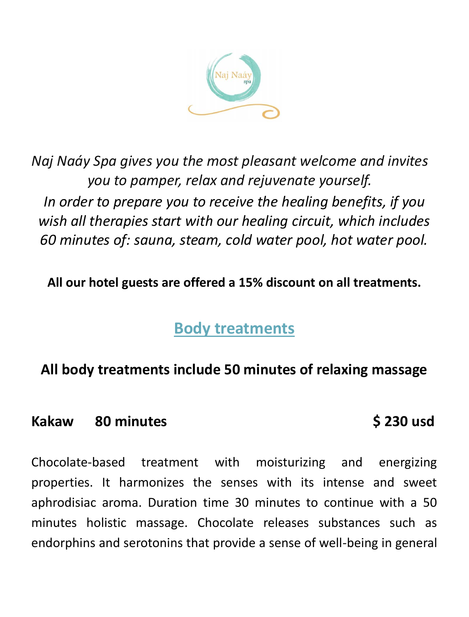

*Naj Naáy Spa gives you the most pleasant welcome and invites you to pamper, relax and rejuvenate yourself. In order to prepare you to receive the healing benefits, if you wish all therapies start with our healing circuit, which includes 60 minutes of: sauna, steam, cold water pool, hot water pool.*

**All our hotel guests are offered a 15% discount on all treatments.**

# **Body treatments**

# **All body treatments include 50 minutes of relaxing massage**

### Kakaw 80 minutes **6 230 usd**

Chocolate-based treatment with moisturizing and energizing properties. It harmonizes the senses with its intense and sweet aphrodisiac aroma. Duration time 30 minutes to continue with a 50 minutes holistic massage. Chocolate releases substances such as endorphins and serotonins that provide a sense of well-being in general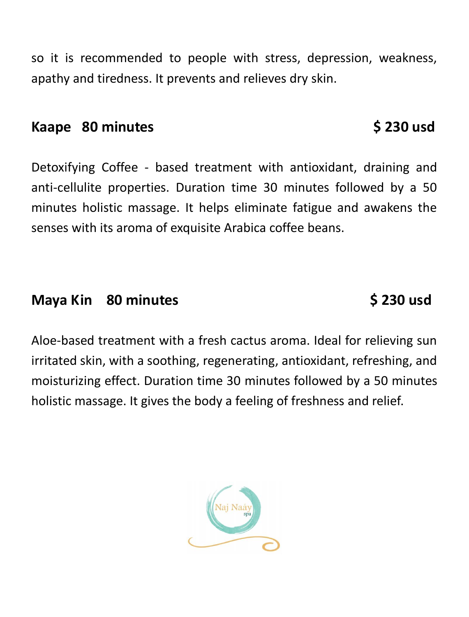so it is recommended to people with stress, depression, weakness, apathy and tiredness. It prevents and relieves dry skin.

## **Kaape 80 minutes \$ 230 usd**

Detoxifying Coffee - based treatment with antioxidant, draining and anti-cellulite properties. Duration time 30 minutes followed by a 50 minutes holistic massage. It helps eliminate fatigue and awakens the senses with its aroma of exquisite Arabica coffee beans.

# **Maya Kin 80 minutes 6 230 usd**

Aloe-based treatment with a fresh cactus aroma. Ideal for relieving sun irritated skin, with a soothing, regenerating, antioxidant, refreshing, and moisturizing effect. Duration time 30 minutes followed by a 50 minutes holistic massage. It gives the body a feeling of freshness and relief.

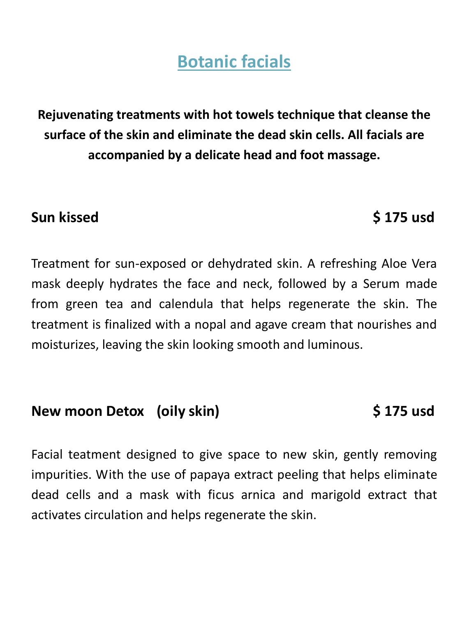**Botanic facials**

**Rejuvenating treatments with hot towels technique that cleanse the surface of the skin and eliminate the dead skin cells. All facials are accompanied by a delicate head and foot massage.**

## **Sun kissed \$ 175 usd**

Treatment for sun-exposed or dehydrated skin. A refreshing Aloe Vera mask deeply hydrates the face and neck, followed by a Serum made from green tea and calendula that helps regenerate the skin. The treatment is finalized with a nopal and agave cream that nourishes and moisturizes, leaving the skin looking smooth and luminous.

## **New moon Detox (oily skin) \$ 175 usd**

Facial teatment designed to give space to new skin, gently removing impurities. With the use of papaya extract peeling that helps eliminate dead cells and a mask with ficus arnica and marigold extract that activates circulation and helps regenerate the skin.